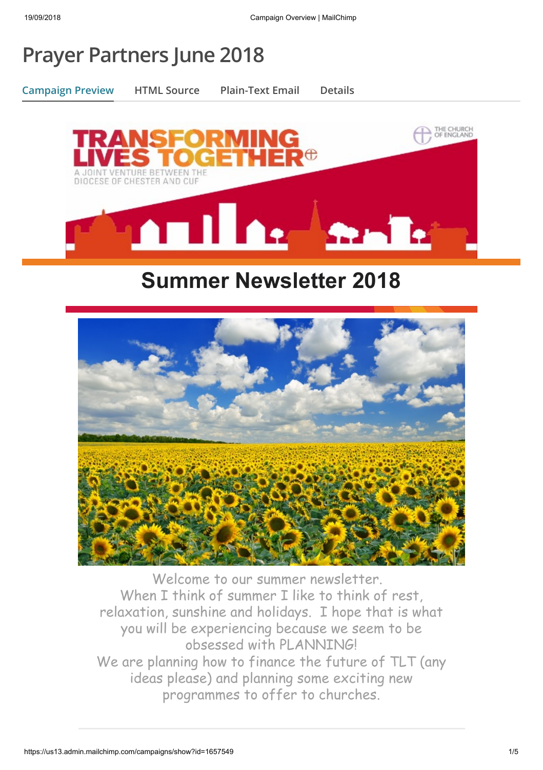# **Prayer Partners June 2018**

**Campaign Preview HTML Source Plain-Text Email Details**



## **Summer Newsletter 2018**



Welcome to our summer newsletter. When I think of summer I like to think of rest, relaxation, sunshine and holidays. I hope that is what you will be experiencing because we seem to be obsessed with PLANNING! We are planning how to finance the future of TLT (any ideas please) and planning some exciting new programmes to offer to churches.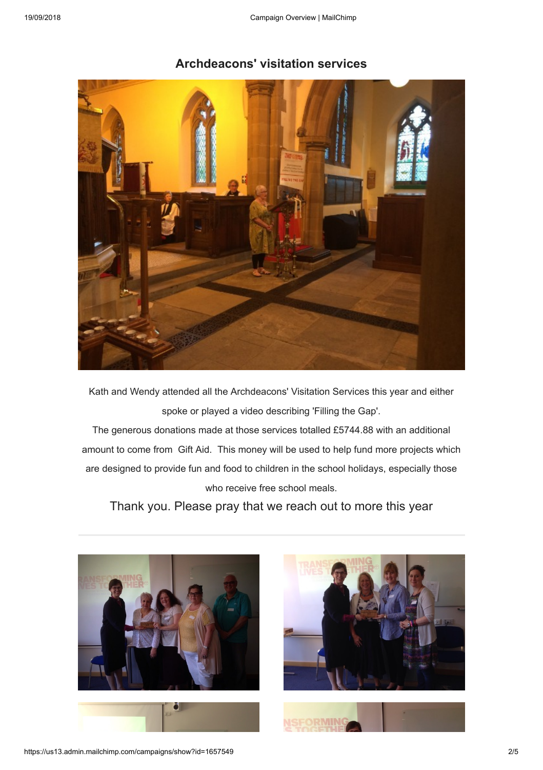

#### **Archdeacons' visitation services**

Kath and Wendy attended all the Archdeacons' Visitation Services this year and either spoke or played a video describing 'Filling the Gap'.

The generous donations made at those services totalled £5744.88 with an additional amount to come from Gift Aid. This money will be used to help fund more projects which are designed to provide fun and food to children in the school holidays, especially those who receive free school meals.

Thank you. Please pray that we reach out to more this year



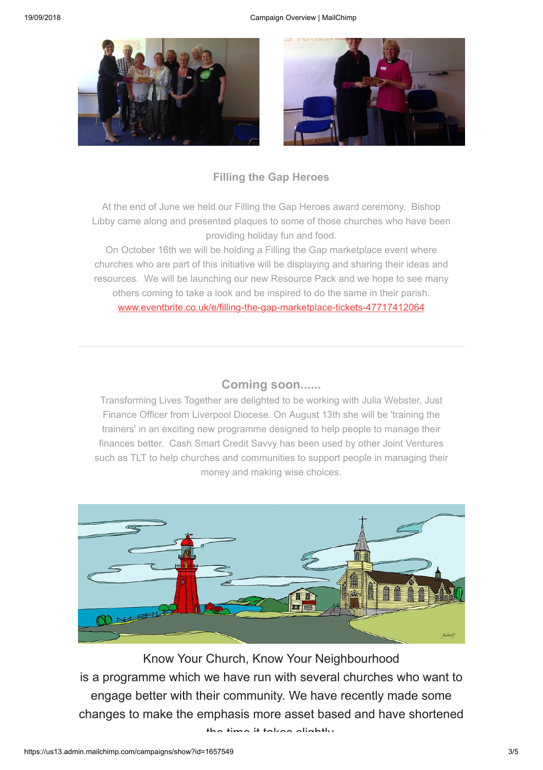

### **Filling the Gap Heroes**

At the end of June we held our Filling the Gap Heroes award ceremony. Bishop Libby came along and presented plaques to some of those churches who have been providing holiday fun and food.

On October 16th we will be holding a Filling the Gap marketplace event where churches who are part of this initiative will be displaying and sharing their ideas and resources. We will be launching our new Resource Pack and we hope to see many others coming to take a look and be inspired to do the same in their parish. [www.eventbrite.co.uk/e/filling-the-gap-marketplace-tickets-47717412064](http://www.eventbrite.co.uk/e/filling-the-gap-marketplace-tickets-47717412064)

#### **Coming soon......**

Transforming Lives Together are delighted to be working with Julia Webster, Just Finance Officer from Liverpool Diocese. On August 13th she will be 'training the trainers' in an exciting new programme designed to help people to manage their finances better. Cash Smart Credit Savvy has been used by other Joint Ventures such as TLT to help churches and communities to support people in managing their money and making wise choices.



Know Your Church, Know Your Neighbourhood is a programme which we have run with several churches who want to engage better with their community. We have recently made some changes to make the emphasis more asset based and have shortened the time it takes slightly

https://us13.admin.mailchimp.com/campaigns/show?id=1657549 3/5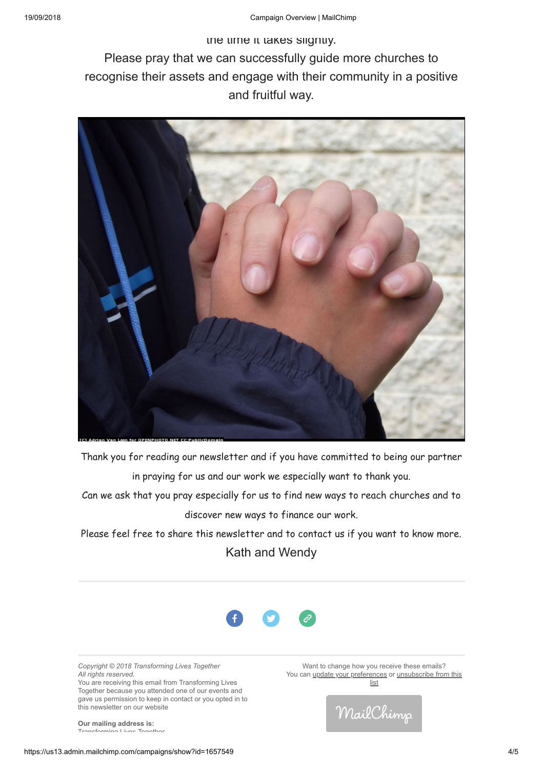the time it takes slightly. Please pray that we can successfully guide more churches to recognise their assets and engage with their community in a positive and fruitful way.



Thank you for reading our newsletter and if you have committed to being our partner in praying for us and our work we especially want to thank you.

Can we ask that you pray especially for us to find new ways to reach churches and to discover new ways to finance our work.

Please feel free to share this newsletter and to contact us if you want to know more. Kath and Wendy



*Copyright © 2018 Transforming Lives Together All rights reserved.* You are receiving this email from Transforming Lives Together because you attended one of our events and gave us permission to keep in contact or you opted in to this newsletter on our website

**Our mailing address is:** Transforming Lives Together

Want to change how you receive these emails? You can [update your prefere](https://tltogether.us13.list-manage.com/profile?u=a59a15d8620343431274e40cd&id=9937b0fc2e&e=[UNIQID])[nces or unsubscribe from this](https://tltogether.us13.list-manage.com/unsubscribe?u=a59a15d8620343431274e40cd&id=9937b0fc2e&e=[UNIQID]&c=00a721e16b) list